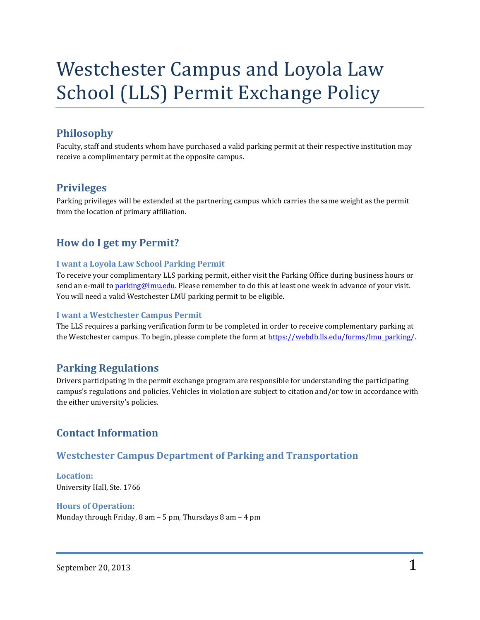# Westchester Campus and Loyola Law School (LLS) Permit Exchange Policy

## **Philosophy**

Faculty, staff and students whom have purchased a valid parking permit at their respective institution may receive a complimentary permit at the opposite campus.

#### **Privileges**

Parking privileges will be extended at the partnering campus which carries the same weight as the permit from the location of primary affiliation.

## **How do I get my Permit?**

#### **I want a Loyola Law School Parking Permit**

To receive your complimentary LLS parking permit, either visit the Parking Office during business hours or send an e-mail to **parking@lmu.edu**. Please remember to do this at least one week in advance of your visit. You will need a valid Westchester LMU parking permit to be eligible.

#### **I want a Westchester Campus Permit**

The LLS requires a parking verification form to be completed in order to receive complementary parking at the Westchester campus. To begin, please complete the form a[t https://webdb.lls.edu/forms/lmu\\_parking/.](https://webdb.lls.edu/forms/lmu_parking/)

#### **Parking Regulations**

Drivers participating in the permit exchange program are responsible for understanding the participating campus's regulations and policies. Vehicles in violation are subject to citation and/or tow in accordance with the either university's policies.

### **Contact Information**

#### **Westchester Campus Department of Parking and Transportation**

**Location:** University Hall, Ste. 1766

#### **Hours of Operation:**

Monday through Friday, 8 am – 5 pm, Thursdays 8 am – 4 pm